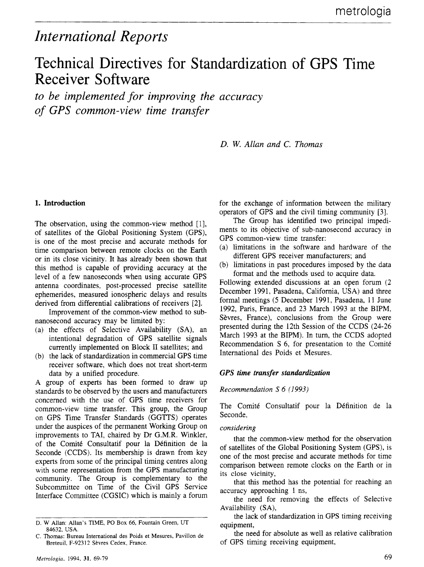# *International Reports*

# Technical Directives for Standardization of GPS Time Receiver Software

*to be implemented for improving the accuracy of GPS common-view time transfer* 

*D. W. Allan and* C. *Thomas* 

### **1. Introduction**

The observation, using the common-view method [1], of satellites of the Global Positioning System (GPS), is one of the most precise and accurate methods for time comparison between remote clocks on the Earth or in its close vicinity. It has already been shown that this method is capable of providing accuracy at the level of a few nanoseconds when using accurate GPS antenna coordinates, post-processed precise satellite ephemerides, measured ionospheric delays and results derived from differential calibrations of receivers **[2].** 

Improvement of the common-view method to subnanosecond accuracy may be limited by:

- (a) the effects of Selective Availability (SA), an intentional degradation of GPS satellite signals currently implemented on Block I1 satellites; and
- (b) the lack of standardization in commercial GPS time receiver software, which does not treat short-term data by a unified procedure.

A group of experts has been formed to draw up standards to be observed by the users and manufacturers concerned with the use of GPS time receivers for common-view time transfer. This group, the Group on GPS Time Transfer Standards (GGTTS) operates under the auspices of the permanent Working Group on improvements to TAI, chaired by Dr G.M.R. Winkler, of the Comité Consultatif pour la Définition de la Seconde (CCDS). Its membership is drawn from key experts from some of the principal timing centres along with some representation from the GPS manufacturing community. The Group is complementary to the Subcommittee on Time of the Civil GPS Service Interface Committee (CGSIC) which is mainly a forum

for the exchange of information between the military operators of GPS and the civil timing community [3].

The Group has identified two principal impediments to its objective of sub-nanosecond accuracy in GPS common-view time transfer:

- (a) limitations in the software and hardware of the different GPS receiver manufacturers; and
- (b) limitations in past procedures imposed by the data format and the methods used to acquire data.

Following extended discussions at an open forum **(2**  December 1991, Pasadena, California, **USA)** and three formal meetings (5 December 1991, Pasadena, 11 June 1992, Paris, France, and 23 March 1993 at the BIPM, Sèvres, France), conclusions from the Group were presented during the 12th Session of the CCDS (24-26 March 1993 at the BIPM). In turn, the CCDS adopted Recommendation S 6, for presentation to the Comité International des Poids et Mesures.

#### *GPS time transfer standardization*

#### *Recommendation S 6 (1 993)*

The Comité Consultatif pour la Définition de la Seconde,

#### *considering*

that the common-view method for the observation of satellites of the Global Positioning System (GPS), is one of the most precise and accurate methods for time comparison between remote clocks on the Earth or in its close vicinity,

that this method has the potential for reaching an accuracy approaching 1 ns,

the need for removing the effects of Selective Availability (SA),

the lack of standardization in GPS timing receiving equipment,

the need for absolute as well as relative calibration of GPS timing receiving equipment,

D. W Allan: Allan's TIME, PO Box 66, Fountain Green, UT **84632,** USA.

C. **Thomas:** Bureau International des Poids et Mesures, Pavillon de Breteuil, F-92312 Sèvres Cedex, France.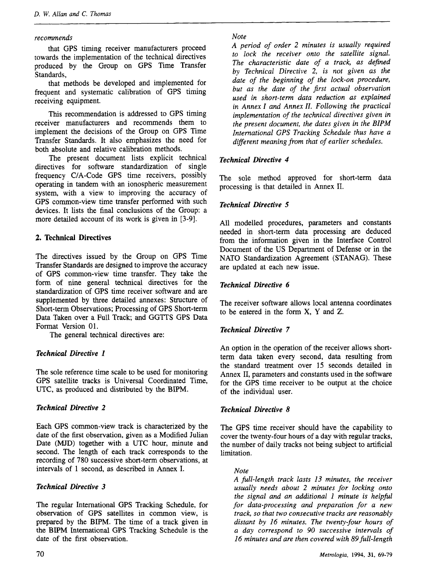#### *recommends*

that GPS timing receiver manufacturers proceed towards the implementation of the technical directives produced by the Group on GPS Time Transfer Standards,

that methods be developed and implemented for frequent and systematic calibration of GPS timing receiving equipment.

This recommendation is addressed to GPS timing receiver manufacturers and recommends them to implement the decisions of the Group on GPS Time Transfer Standards. It also emphasizes the need for both absolute and relative calibration methods.

The present document lists explicit technical directives for software standardization of single frequency C/A-Code GPS time receivers, possibly operating in tandem with an ionospheric measurement system, with a view to improving the accuracy of GPS common-view time transfer performed with such devices. It lists the final conclusions of the Group: a more detailed account of its work is given in [3-9].

# **2. Technical Directives**

The directives issued by the Group on GPS Time Transfer Standards are designed to improve the accuracy of GPS common-view time transfer. They take the form of nine general technical directives for the standardization of GPS time receiver software and are supplemented by three detailed annexes: Structure of Short-term Observations; Processing of GPS Short-term Data Taken over a Full Track, and GGTTS GPS Data Format Version 01.

The general technical directives are:

# *Technical Directive 1*

The sole reference time scale to be used for monitoring GPS satellite tracks is Universal Coordinated Time, **UTC,** as produced and distributed by the BIPM.

# *Technical Directive 2*

Each GPS common-view track is characterized by the date of the first observation, given as a Modified Julian Date (MJD) together with a UTC hour, minute and second. The length of each track corresponds to the recording of **780** successive short-term observations, at intervals of 1 second, as described in Annex I.

# *Technical Directive 3*

The regular Intemational GPS Tracking Schedule, for observation of GPS satellites in common view, is prepared by the BIPM. The time of a track given in the BIPM International GPS Tracking Schedule is the date of the first observation.

*Note* 

*A period* of *order 2 minutes is usually required to lock the receiver onto the satellite signal. The characteristic date* of *a track, as defined by Technical Directive 2, is not given as the date of the beginning of the lock-on procedure, but as the date of the first actual observation used in short-term data reduction as explained in Annex I and Annex II. Following the practical implementation of the technical directives given in the present document, the dates given in the BIPM Intemational GPS Tracking Schedule thus have a different meaning from that of earlier schedules.* 

# *Technical Directive 4*

The sole method approved for short-term data processing is that detailed in Annex 11.

# *Technical Directive 5*

All modelled procedures, parameters and constants needed in short-term data processing are deduced from the information given in the Interface Control Document of the US Department of Defense or in the NATO Standardization Agreement (STANAG). These are updated at each new issue.

# *Technical Directive 6*

The receiver software allows local antenna coordinates to be entered in the form **X,** Y and **Z.** 

# *Technical Directive 7*

An option in the operation of the receiver allows shortterm data taken every second, data resulting from the standard treatment over 15 seconds detailed in Annex 11, parameters and constants used in the software for the GPS time receiver to be output at the choice of the individual user.

# *Technical Directive 8*

The GPS time receiver should have the capability to cover the twenty-four hours of a day with regular tracks, the number of daily tracks not being subject to artificial limitation.

#### *Note*

*A full-length track lasts 13 minutes, the receiver usually needs about 2 minutes for locking onto the signal and an additional 1 minute is helpful for data-processing and preparation for a new track, so that two consecutive tracks are reasonably distant by 16 minutes. The twenty-four hours of a day correspond to 90 successive intervals of 16 minutes and are then covered with 89full-length*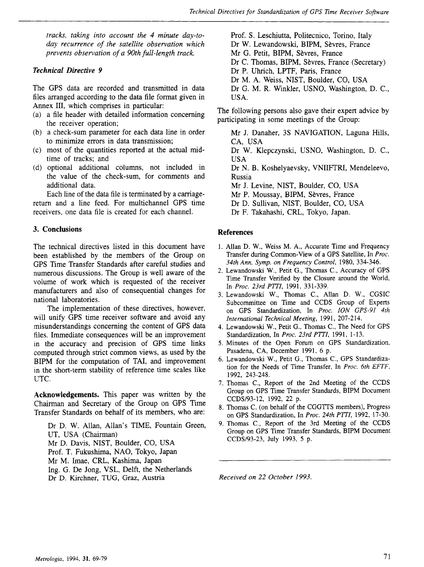*tracks, taking into account the 4 minute day-today recurrence* of *the satellite observation which prevents observation* of *a 90th full-length track.* 

# *Technical Directive 9*

The GPS data are recorded and transmitted in data files arranged according to the data file format given in Annex 111, which comprises in particular:

- (a) a file header with detailed information concerning the receiver operation;
- a check-sum parameter for each data line in order to minimize errors in data transmission;
- most of the quantities reported at the actual midtime of tracks; and
- (d) optional additional columns, not included in the value of the check-sum, for comments and additional data.

Each line of the data file is terminated by a carriagereturn and a line feed. For multichannel GPS time receivers, one data file is created for each channel.

#### **3. Conclusions**

The technical directives listed in this document have been established by the members of the Group on GPS Time Transfer Standards after careful studies and numerous discussions. The Group is well aware of the volume of work which is requested of the receiver manufacturers and also of consequential changes for national laboratories.

The implementation of these directives, however, will unify GPS time receiver software and avoid any misunderstandings concerning the content of GPS data files. Immediate consequences will be an improvement in the accuracy and precision of GPS time links computed through strict common views, as used by the BIPM for the computation of TAI, and improvement in the short-term stability of reference time scales like UTC.

**Acknowledgements.** This paper was written by the Chairman and Secretary of the Group on GPS Time Transfer Standards on behalf of its members, who are:

Dr D. W. Allan, Allan's TIME, Fountain Green, UT, USA (Chairman) Mr D. Davis, NIST, Boulder, CO, USA Prof. T. Fukushima, NAO, Tokyo, Japan Mr M. Imae, CRL, Kashima, Japan Ing. G. De Jong, VSL, Delft, the Netherlands **Dr** D. Kirchner, TUG, Graz, Austria

Prof. **S.** Leschiutta, Politecnico, Torino, Italy Dr W. Lewandowski, BIPM, Sèvres, France Mr G. Petit, BIPM, Sèvres, France Dr C. Thomas, BIPM, Sèvres, France (Secretary) Dr P. Uhrich, LPTF, Paris, France Dr M. A. Weiss, NIST, Boulder, CO, USA Dr G. M. R. Winkler, USNO, Washington, D. C., USA.

The following persons also gave their expert advice by participating in some meetings of the Group:

Mr J. Danaher, 3s NAVIGATION, Laguna Hills, CA, USA

Dr W. Klepczynski, USNO, Washington, D. C., USA

Dr N. B. Koshelyaevsky, VNIIFTRI, Mendeleevo, Russia

- Mr J. Levine, NIST, Boulder, CO, USA
- Mr P. Moussay, BIPM, Sèvres, France
- Dr D. Sullivan, NIST, Boulder, CO, USA
- Dr F. Takahashi, CRL, Tokyo, Japan.

### **References**

- 1. Allan D. W., Weiss M. **A.,** Accurate Time and Frequency Transfer during Common-View of a GPS Satellite, In *Proc. 34th Ann. Symp. on Frequency Control,* 1980, 334-346.
- 2. Lewandowski W., Petit G., Thomas C., Accuracy of GPS Time Transfer Verified by the Closure around the World, In *Proc. 23rd PPI,* 1991, 331-339.
- 3. Lewandowski W., Thomas C., Allan D. W., CGSIC Subcommittee on Time and CCDS Group of Experts on GPS Standardization, In *Proc. ION GPS-91 4th International Technical Meeting,* 1991, 207-2 14.
- **4.**  Lewandowski W., Petit G., Thomas C., The Need for GPS Standardization, In *Proc. 23rd PTTI,* 1991, 1-13.
- 5. Minutes of the Open Forum on GPS Standardization, Pasadena, CA, December 1991, 6 p.
- 6. Lewandowski W., Petit G., Thomas C., GPS Standardization for the Needs of Time Transfer, In *Proc. 6th EFTF,*  1992, 243-248.
- 7. Thomas C., Report of the 2nd Meeting of the CCDS Group on GPS Time Transfer Standards, BIPM Document CCDS/93-12, 1992, 22 p.
- 8. Thomas C. (on behalf of the CGGTTS members), Progress on GPS Standardization, In *Proc. 24th PTTI,* 1992, 17-30.
- 9. Thomas C., Report of the 3rd Meeting of the CCDS Group on GPS Time Transfer Standards, BIPM Document CCDS193-23, July 1993, 5 p.

*Received on 22 October 1993.*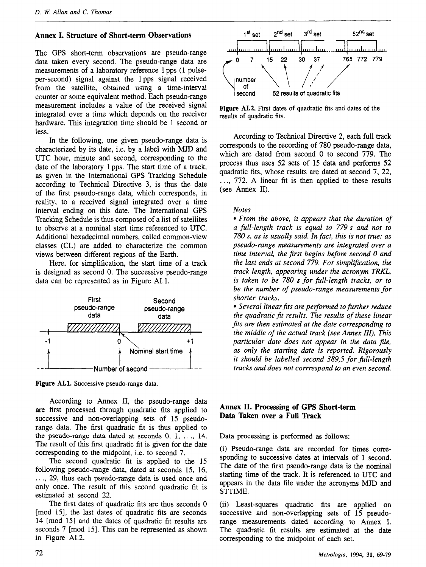#### **Annex I. Structure of Short-term Observations**

The **GPS** short-term observations are pseudo-range data taken every second. The pseudo-range data are measurements of a laboratory reference 1 pps (1 pulseper-second) signal against the 1 pps signal received from the satellite, obtained using a time-interval counter or some equivalent method. Each pseudo-range measurement includes a value of the received signal integrated over a time which depends on the receiver hardware. This integration time should be 1 second or less.

In the following, one given pseudo-range data is characterized by its date, i.e. by a label with MJD and UTC hour, minute and second, corresponding to the date of the laboratory 1 pps. The start time of a track, as given in the International **GPS** Tracking Schedule according to Technical Directive 3, is thus the date of the first pseudo-range data, which corresponds, in reality, to a received signal integrated over a time interval ending on this date. The International **GPS**  Tracking Schedule is thus composed of a list of satellites to observe at a nominal start time referenced to UTC. Additional hexadecimal numbers, called common-view classes **(CL)** are added to characterize the common views between different regions of the Earth.

Here, for simplification, the start time of a track is designed as second 0. The successive pseudo-range data can be represented as in Figure AI.l.



**Figure AI.l.** Successive pseudo-range data.

According to Annex 11, the pseudo-range data are first processed through quadratic fits applied to successive and non-overlapping sets of 15 pseudorange data. The first quadratic fit is thus applied to the pseudo-range data dated at seconds 0, 1, . . ., **14.**  The result of this first quadratic fit is given for the date corresponding to the midpoint, i.e. to second **7.** 

The second quadratic fit is applied to the 15 following pseudo-range data, dated at seconds 15, 16, . . ., 29, thus each pseudo-range data is used once and only once. The result of this second quadratic fit is estimated at second 22.

The first dates of quadratic fits are thus seconds 0 [mod 151, the last dates of quadratic fits are seconds 14 [mod 151 and the dates of quadratic fit results are seconds 7 [mod 15]. This can be represented as shown in Figure AI.2.



**Figure AI.2.** First dates of quadratic fits and dates **of** the results of quadratic fits.

According to Technical Directive 2, each full track corresponds to the recording of **780** pseudo-range data, which are dated from second 0 to second 779. The process thus uses 52 sets of 15 data and performs 52 quadratic fits, whose results are dated at second 7, 22, ..., 772. A linear fit is then applied to these results (see Annex 11).

#### *Notes*

*From the above, it appears that the duration* of *a full-length track is equal to 779* **s** *and not to 780* **s,** *as is usually said. In fact, this is not true: as pseudo-range measurements are integrated over a time interval, the first begins before second 0 and the last ends at second 779. For simplijication, the track length, appearing under the acronym TRKL, is taken to be 780* **s** *for full-length tracks, or to be the number* of *pseudo-range measurements for shorter tracks.* 

*Several linear fits are performed to further reduce the quadratic fit results. The results* of *these linear jts are then estimated at the date corresponding to the middle* of *the actual track (see Annex HI). This particular date does not appear in the data jile, as only the starting date is reported. Rigorously it should be labelled second 389,5 for full-length tracks and does not corrrespond to an even second.* 

# **Annex 11. Processing of GPS Short-term Data Taken over a Full Track**

Data processing is performed as follows:

(i) Pseudo-range data are recorded for times corresponding to successive dates at intervals of **1** second. The date of the first pseudo-range data is the nominal starting time of the track. It is referenced to UTC and appears in the data file under the acronyms MJD and STTIME.

(ii) Least-squares quadratic fits are applied on successive and non-overlapping sets of 15 pseudorange measurements dated according to Annex I. The quadratic fit results are estimated at the date corresponding to the midpoint of each set.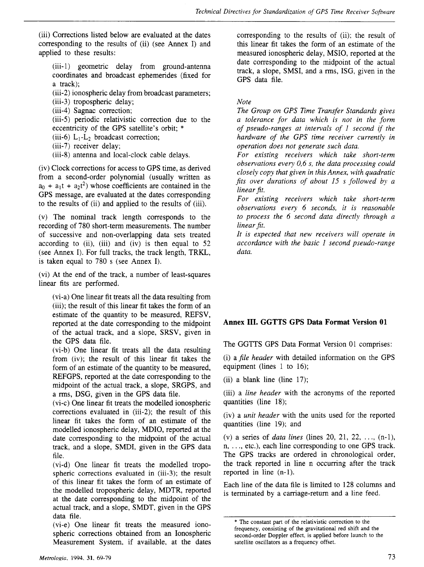(iii) Corrections listed below are evaluated at the dates corresponding to the results of (ii) (see Annex I) and applied to these results:

(iii- 1) geometric delay from ground-antenna coordinates and broadcast ephemerides (fixed for a track);

- (iii-2) ionospheric delay from broadcast parameters;
- (iii-3) tropospheric delay;
- (iii-4) Sagnac correction;

(iii-5) periodic relativistic correction due to the eccentricity of the GPS satellite's orbit; \*

- (iii-6)  $L_1-L_2$  broadcast correction;
- (iii-7) receiver delay;
- (iii-8) antenna and local-clock cable delays.

(iv) Clock corrections for access to GPS time, as derived from a second-order polynomial (usually written as  $a_0 + a_1t + a_2t^2$  whose coefficients are contained in the GPS message, are evaluated at the dates corresponding to the results of (ii) and applied to the results of (iii).

(v) The nominal track length corresponds to the recording of 780 short-term measurements. The number of successive and non-overlapping data sets treated according to (ii), (iii) and (iv) is then equal to  $52$ (see Annex I). For full tracks, the track length, TRKL, is taken equal to 780 s (see Annex I).

(vi) At the end of the track, a number of least-squares linear fits are performed.

(vi-a) One linear fit treats all the data resulting from (iii); the result of this linear fit takes the form of an estimate of the quantity to be measured, REFSV, reported at the date corresponding to the midpoint of the actual track, and a slope, SRSV, given in the GPS data file.

(vi-b) One linear fit treats all the data resulting from (iv); the result of this linear fit takes the form of an estimate of the quantity to be measured, REFGPS, reported at the date corresponding to the midpoint of the actual track, a slope, SRGPS, and a rms, DSG, given in the GPS data file.

(vi-c) One linear fit treats the modelled ionospheric corrections evaluated in (iii-2); the result of this linear fit takes the form of an estimate of the modelled ionospheric delay, MDIO, reported at the date corresponding to the midpoint of the actual track, and a slope, SMDI, given in the GPS data file.

(vi-d) One linear fit treats the modelled tropospheric corrections evaluated in (iii-3); the result of this linear fit takes the form of an estimate of the modelled tropospheric delay, MDTR, reported at the date corresponding to the midpoint of the actual track, and a slope, SMDT, given in the GPS data file.

(vi-e) One linear fit treats the measured ionospheric corrections obtained from an Ionospheric Measurement System, if available, at the dates corresponding to the results of (ii); the result of this linear fit takes the form of an estimate of the measured ionospheric delay, MSIO, reported at the date corresponding to the midpoint of the actual track, a slope, **SMSI,** and a rms, ISG, given in the GPS data file.

# *Note*

*The Group on GPS Time Transfer Standards gives a tolerance for data which is not in the form of pseudo-ranges at intervals of 1 second if the hardware of the GPS time receiver currently in operation does not generate such data.* 

*For existing receivers which take short-term observations every 0,6* s, *the data processing could closely copy that given in this Annex, with quadratic fits over durations of about 15* s *followed by a linear fit.* 

*For existing receivers which take short-term observations every 6 seconds, it is reasonable to process the 6 second data directly through a linear fit.* 

*It is expected that new receivers will operate in accordance with the basic 1 second pseudo-range data.* 

# **Annex 111. GGTTS GPS Data Format Version 01**

The GGTTS GPS Data Format Version 01 comprises:

(i) a *file header* with detailed information on the GPS equipment (lines 1 to 16);

(ii) a blank line (line  $17$ );

(iii) a *line header* with the acronyms of the reported quantities (line 18);

(iv) a *unit header* with the units used for the reported quantities (line 19); and

(v) a series of *data lines* (lines 20, 21, *22,* . . ., (n-l), n, . . ., etc.), each line corresponding to one GPS track. The GPS tracks are ordered in chronological order, the track reported in line n occurring after the track reported in line (n-1).

Each line of the data file is limited to 128 columns and is terminated by a carriage-return and a line feed.

<sup>\*</sup> The constant part of the relativistic correction to the frequency, consisting of the gravitational red shift and the second-order Doppler effect, is applied before launch to the satellite oscillators as **a** frequency offset.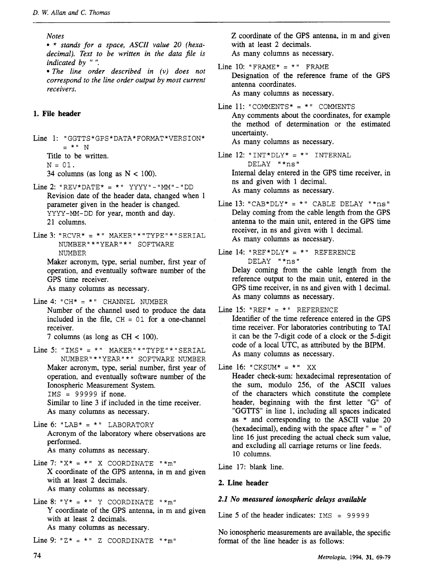*Notes* 

\* *stands for a space, ASCII value 20 (hexadecimal). Text to be written in the data file is indicated by "".* 

*The line order described in (v) does not correspond to the line order output by most current receivers.* 

# **1. File header**

Line 1: "GGTTS\*GPS\*DATA\*FORMAT\*VERSION\*  $=$  \*" N Title to be written.  $N = 01.$ 

34 columns (as long as N *e* 100).

- Revision date of the header data, changed when 1 parameter given in the header is changed. YYYY-MM-DD for year, month and day. 21 columns. Line 2: "REV\*DATE\* = \* "  $YYYY" - "MM" - "DD$
- Line 3: " $RCVR* = *$ " MAKER" \* " $TYPE" * "SERIAL$ NUMBER **11** \* **11** YEAR **II It** SOFTWARE NUMBER

Maker acronym, type, serial number, first year of operation, and eventually software number of the GPS time receiver.

As many columns as necessary.

Number of the channel used to produce the data included in the file,  $CH = 01$  for a one-channel receiver. Line 4: "CH\* = \*" CHANNEL NUMBER

7 columns (as long as CH *e* 100).

Line  $5:$  " $INS* = *$ " MAKER" \* "TYPE" \* "SERIAL NUMBER" \* "YEAR" \* " SOFTWARE NUMBER Maker acronym, type, serial number, first year of operation, and eventually software number of the Ionospheric Measurement System. IMS = 99999 if none.

Similar to line 3 if included in the time receiver. As many columns as necessary.

- Acronym of the laboratory where observations are performed. As many columns as necessary. Line 6: "LAB\* = \*" LABORATORY
- X coordinate of the GPS antenna, in m and given with at least 2 decimals. As many columns as necessary. Line 7: " $X* = *$ " X COORDINATE "\*m"
- Y coordinate of the GPS antenna, in m and given with at least 2 decimals. Line 8:  $''Y^* = *'' Y$  COORDINATE  $''*m''$

As many columns as necessary.

Line 9:  $"Z* = *"$  Z COORDINATE  $"*m"$ 

2 coordinate of the GPS antenna, in m and given with at least 2 decimals.

- As many columns as necessary.
- Line  $10:$  "FRAME<sup>\*</sup> = \*" FRAME Designation of the reference frame of the GPS antenna coordinates. As many columns as necessary.
- Any comments about the coordinates, for example the method of determination or the estimated uncertainty. Line 11: "COMMENTS\* = \*" COMMENTS

**As** many columns as necessary.

Line 12: "INT\*DLY\* = \*" INTERNAL DELAY "\*ns" Internal delay entered in the GPS time receiver, in ns and given with 1 decimal. As many columns as necessary.

- Line 13: "CAB\*DLY\* = \*" CABLE DELAY "\*ns" Delay coming from the cable length from the GPS antenna to the main unit, entered in the GPS time receiver, in ns and given with 1 decimal. As many columns as necessary.
- Line 14: "REF\*DLY\* = \*" REFERENCE DELAY "\*ns" Delay coming from the cable length from the

reference output to the main unit, entered in the GPS time receiver, in ns and given with 1 decimal. As many columns as necessary.

# Line 15: "REF\* = \*" REFERENCE

Identifier of the time reference entered in the GPS time receiver. For laboratories contributing to TA1 it can be the 7-digit code of a clock or the 5-digit code of a local UTC, as attributed by the BIPM. **As** many columns as necessary.

# Line  $16$ : "CKSUM\* = \*" XX

Header check-sum: hexadecimal representation of the sum, modulo 256, of the ASCII values of the characters which constitute the complete header, beginning with the first letter "G" of "GGTTS" in line 1, including all spaces indicated as \* and corresponding to the ASCII value 20 (hexadecimal), ending with the space after  $\prime = \prime$  of line 16 just preceding the actual check sum value, and excluding all carriage returns or line feeds. 10 columns.

Line 17: blank line.

# **2. Line header**

# *2.1 No measured ionospheric delays available*

Line 5 of the header indicates: IMS = 99999

No ionospheric measurements are available, the specific format of the line header is as follows: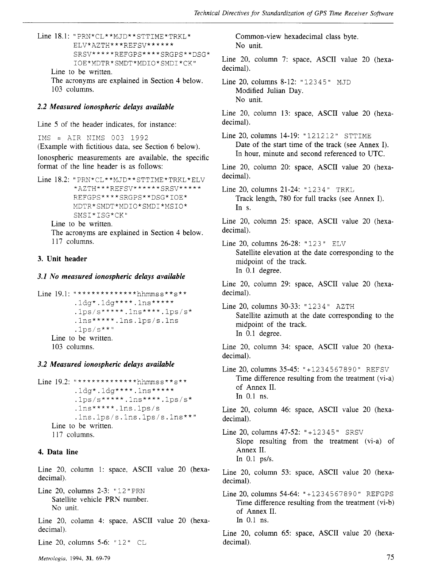Line 18.1: "PRN\*CL\*\*MJD\*\*STTIME\*TRKL\* ELV\*AZTH\*\*\*REFSV\*\*\*\*\*\* SRSV\*\*\*\*\*REFGPS\*\*\*\*SRGPS\*\*DSG\* IOE\*MDTR\*SMDT\*MDIO\*SMDI\*CK" Line to be written. The acronyms are explained in Section 4 below. 103 columns.

#### 2.2 Measured ionospheric delays available

Line 5 of the header indicates, for instance:

 $IMS = AIR NIMS 003 1992$ (Example with fictitious data, see Section 6 below). Ionospheric measurements are available, the specific format of the line header is as follows:

Line 18.2: "PRN\*CL\*\*MJD\*\*STTIME\*TRKL\*ELV \*AZTH\*\*\*REFSV\*\*\*\*\*\*SRSV\*\*\*\*\* REFGPS\*\*\*\*SRGPS\*\*DSG\*IOE\* MDTR\*SMDT\*MDIO\*SMDI\*MSIO\* SMSI\*ISG\*CK"

Line to be written.

The acronyms are explained in Section 4 below. 117 columns.

## 3. Unit header

#### 3.1 No measured ionospheric delays available

```
Line 19.1: "**************hhmmss**s**
      .1dg*.1dg****.1ns*****
      .1ps/s*****.1ns****.1ps/s*
      .1ns*****.1ns.1ps/s.1ns
      .1ps/s**"
Line to be written.
103 columns.
```
#### 3.2 Measured ionospheric delays available

```
Line 19.2: "**************hhmmss**s**
     .1dg*.1dg****.1ns*****
     .1ps/s*****.1ns****.1ps/s*
     .1ns ******.1ns.1ps/s
     .1ns.1ps/s.1ns.1ps/s.1ns**"Line to be written.
117 columns.
```
#### 4. Data line

Line 20, column 1: space, ASCII value 20 (hexadecimal).

Line 20. columns 2-3: "12" PRN Satellite vehicle PRN number. No unit.

Line 20, column 4: space, ASCII value 20 (hexadecimal).

Line 20, columns  $5-6$ : " $12$ " CL

Common-view hexadecimal class byte. No unit.

Line 20, column 7: space, ASCII value 20 (hexadecimal).

Line 20, columns 8-12: "12345" MJD Modified Julian Day. No unit.

Line 20, column 13: space, ASCII value 20 (hexadecimal).

Line 20, columns 14-19: "121212" STTIME Date of the start time of the track (see Annex I). In hour, minute and second referenced to UTC.

Line 20, column 20: space, ASCII value 20 (hexadecimal).

Line 20, columns 21-24: "1234" TRKL Track length, 780 for full tracks (see Annex I).  $In. s.$ 

Line 20, column 25: space, ASCII value 20 (hexadecimal).

Line 20, columns 26-28: "123" ELV Satellite elevation at the date corresponding to the midpoint of the track. In 0.1 degree.

Line 20, column 29: space, ASCII value 20 (hexadecimal).

Line 20, columns 30-33: "1234" AZTH Satellite azimuth at the date corresponding to the midpoint of the track. In 0.1 degree.

Line 20, column 34: space, ASCII value 20 (hexadecimal).

Line 20, columns 35-45: "+1234567890" REFSV Time difference resulting from the treatment (vi-a) of Annex II. In 0.1 ns.

Line 20, column 46: space, ASCII value 20 (hexadecimal).

Line 20, columns  $47-52$ : " $+12345$ " SRSV Slope resulting from the treatment (vi-a) of Annex II. In  $0.1$  ps/s.

Line 20, column 53: space, ASCII value 20 (hexadecimal).

Line 20, columns 54-64: "+1234567890" REFGPS Time difference resulting from the treatment (vi-b) of Annex II. In 0.1 ns.

Line 20, column 65: space, ASCII value 20 (hexadecimal).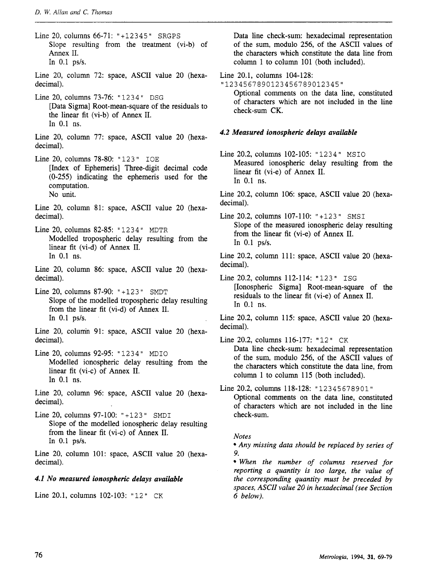- Line 20, columns 66-71: "+12345" SRGPS Slope resulting from the treatment (vi-b) of Annex 11. In 0.1 ps/s.
- Line 20, column 72: space, ASCII value 20 (hexadecimal).
- Line 20, columns 73-76: "1234" DSG [Data Sigma] Root-mean-square of the residuals to the linear fit (vi-b) of Annex 11. In 0.1 ns.
- Line 20, column 77: space, ASCII value 20 (hexadecimal).
- Line 20, columns 78-80: "123" IOE [Index of Ephemeris] Three-digit decimal code (0-255) indicating the ephemeris used for the computation. No unit.
- Line 20, column 81: space, ASCII value 20 (hexadecimal).
- Line 20, columns 82-85: "1234" MDTR Modelled tropospheric delay resulting from the linear fit (vi-d) of Annex 11. In 0.1 ns.
- Line 20, column 86: space, ASCII value 20 (hexadecimal).
- Line 20, columns 87-90: "+123" SMDT Slope of the modelled tropospheric delay resulting from the linear fit (vi-d) of Annex 11. In 0.1 ps/s.
- Line 20, column 91: space, ASCII value 20 (hexadecimal).
- Line 20, columns 92-95: "1234" MDIO Modelled ionospheric delay resulting from the linear fit (vi-c) of Annex 11. In 0.1 ns.
- Line 20, column 96: space, ASCII value 20 (hexadecimal).
- Line 20, columns 97-100: " $+123$ " SMDI Slope of the modelled ionospheric delay resulting from the linear fit (vi-c) of Annex 11. In 0.1 ps/s.

Line 20, column 101: space, ASCII value 20 (hexadecimal).

#### *4.1 No measured ionospheric delays available*

Line 20.1, columns 102-103: "12" CK

Data line check-sum: hexadecimal representation of the sum, modulo 256, of the ASCII values of the characters which constitute the data line from column 1 to column 101 (both included).

Line 20.1, columns 104-128:

"1234567890123456789012345" Optional comments on the data line, constituted of characters which are not included in the line check-sum CK.

#### *4.2 Measured ionospheric delays available*

Line 20.2, columns 102-105: "1234" MSIO Measured ionospheric delay resulting from the linear fit (vi-e) of Annex 11. In 0.1 ns.

Line 20.2, column 106: space, ASCII value 20 (hexadecimal).

Line 20.2, columns 107-110: "+123" SMSI Slope of the measured ionospheric delay resulting from the linear fit (vi-e) of Annex 11. In 0.1 ps/s.

Line 20.2, column 111: space, ASCII value 20 (hexadecimal).

Line 20.2, columns 112-114: "123" ISG [Ionospheric Sigma] Root-mean-square of the residuals to the linear fit (vi-e) of Annex 11. In 0.1 ns.

Line 20.2, column 115: space, ASCII value 20 (hexadecimal).

Line 20.2, columns 116-177: "12" CK Data line check-sum: hexadecimal representation of the sum, modulo 256, of the ASCII values of the characters which constitute the data line, from column 1 to column 115 (both included).

Line 20.2, columns 118-128: "12345678901" Optional comments on the data line, constituted of characters which are not included in the line check-sum.

#### *Notes*

*When the number of columns reserved for reporting a quantity is too large, the value of the corresponding quantity must be preceded by spaces, ASCII value 20 in hexadecimal (see Section 6 below).* 

*Any missing data should be replaced by series of 9.*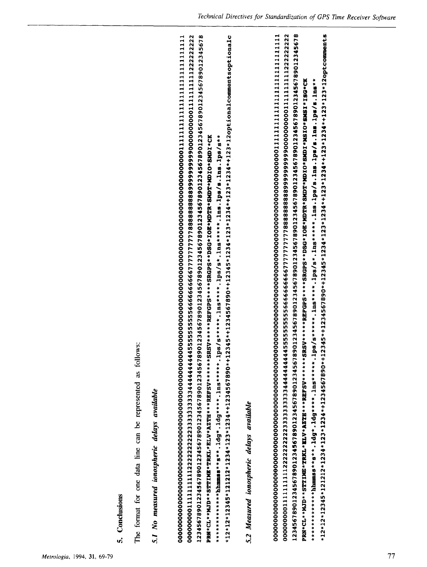| 123456789012345678901234567890123456789012345678901234567890123456789012345678901234567890123456789012345678901234567890123456789<br>-127*127457127127127127341123452194567890*+1234567890*+1234512345*12341123141123112341+123+123+120ptionalcommentscptio<br>PRN* <cl4**stile**rdi+ck+astic+cr+*sqd8c++****rbfsv****rsfsf***rsvf*****rsssf***brgps+*dsg+ioe*addf*rh< th=""></cl4**stile**rdi+ck+astic+cr+*sqd8c++****rbfsv****rsfsf***rsvf*****rsssf***brgps+*dsg+ioe*addf*rh<> |
|-----------------------------------------------------------------------------------------------------------------------------------------------------------------------------------------------------------------------------------------------------------------------------------------------------------------------------------------------------------------------------------------------------------------------------------------------------------------------------------|
| 5.2 Measured ionospheric delays available                                                                                                                                                                                                                                                                                                                                                                                                                                         |
|                                                                                                                                                                                                                                                                                                                                                                                                                                                                                   |
| 12345678901234567890123456789012345678901234567890123456789012345678901234567890123456789012345678901234567890123456789012345678                                                                                                                                                                                                                                                                                                                                                  |
| ***SRSV****REFGPS******SRGPS**DSG*IOE*PIDT**RIDT*RIDIOISAS# \$\$\$\$\$\$\$\$\$\$\$\$\$\$\$\$\$\$\$\$\$<br>PRN*CL**MJD**STTIME*TRKL*ELV*AZTH***RRFSV***                                                                                                                                                                                                                                                                                                                            |
| *12*12345*121212*1234*123+123454567890*+1234567890*+1234567890*+12345*1234*123*12341+123*1234*+123*123*123*12optcomments                                                                                                                                                                                                                                                                                                                                                          |
|                                                                                                                                                                                                                                                                                                                                                                                                                                                                                   |

Technical Directives for Standardization of GPS Time Receiver Software

The format for one data line can be represented as follows:

5. Conclusions

5.1 No measured ionospheric delays available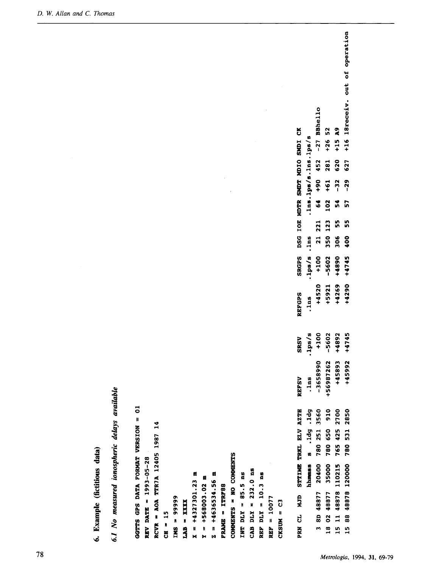|                              |                                              |                                    |                       |                                |           |        |             |                     |                    |                     |                |                        |                       |                      |                     |               |              | DSG IOE MDTR SMDT MDIO SMDI CK  | .1ns.1ps/s.1ns.1ps/s | -27 BBhello<br>452<br>$\frac{6}{3}$ | 52<br>$+26$<br>281<br>$+61$ | +15 A9<br>620<br>$-32$ | +16 18receiv. out of operation<br>627<br>$-29$ |
|------------------------------|----------------------------------------------|------------------------------------|-----------------------|--------------------------------|-----------|--------|-------------|---------------------|--------------------|---------------------|----------------|------------------------|-----------------------|----------------------|---------------------|---------------|--------------|---------------------------------|----------------------|-------------------------------------|-----------------------------|------------------------|------------------------------------------------|
|                              |                                              |                                    |                       |                                |           |        |             |                     |                    |                     |                |                        |                       |                      |                     |               |              |                                 |                      | $\boldsymbol{54}$                   | 102                         | 54                     | 57                                             |
|                              |                                              |                                    |                       |                                |           |        |             |                     |                    |                     |                |                        |                       |                      |                     |               |              |                                 |                      | 221                                 |                             | 55                     | ភ                                              |
|                              |                                              |                                    |                       |                                |           |        |             |                     |                    |                     |                |                        |                       |                      |                     |               |              |                                 | .1 <sub>ns</sub>     | 21                                  | 350 123                     | 306                    | 400                                            |
|                              |                                              |                                    |                       |                                |           |        |             |                     |                    |                     |                |                        |                       |                      |                     |               |              | <b>SRGPS</b>                    | .1ps/s               | $+100$                              | $-5602$                     | 14890                  | +4745                                          |
|                              |                                              |                                    |                       |                                |           |        |             |                     |                    |                     |                |                        |                       |                      |                     |               |              | <b>REFGPS</b>                   | .1ns                 | +4520                               | +5921                       | +4269                  | +4290                                          |
|                              |                                              |                                    |                       |                                |           |        |             |                     |                    |                     |                |                        |                       |                      |                     |               |              | SRSV                            | a/sdr.               | +100                                | $-5602$                     | +4892                  | +4745                                          |
|                              |                                              |                                    |                       |                                |           |        |             |                     |                    |                     |                |                        |                       |                      |                     |               |              | <b>REFSV</b>                    | .1ns                 | $-3658990$                          | +56987262                   | +45893                 | +45992                                         |
|                              |                                              |                                    |                       |                                |           |        |             |                     |                    |                     |                |                        |                       |                      |                     |               |              |                                 |                      |                                     |                             |                        |                                                |
|                              |                                              |                                    |                       |                                |           |        |             |                     |                    |                     |                |                        |                       |                      |                     |               |              |                                 |                      |                                     |                             |                        |                                                |
|                              | 6.1 No measured ionospheric delays available | GOTTS GPS DATA FORMAT VERSION = 01 |                       | RCVR = AOA TTR7A 12405 1987 14 |           |        |             |                     |                    |                     |                |                        |                       |                      |                     |               |              | PRN CL MJD STTIME TRKL ELV AZTH | s .1dg .1dg          | 780 251 3560                        | 780 650 910                 | 765 425 2700           | 780 531 2850                                   |
|                              |                                              |                                    |                       |                                |           |        |             |                     |                    |                     |                |                        |                       |                      |                     |               |              |                                 |                      | 20400                               |                             |                        |                                                |
| 6. Example (fictitious data) |                                              |                                    | REV DATE = 1993-05-28 |                                |           |        |             | $x = +4327301.23$ m |                    | $x = +4636534.56 m$ |                | COMMENTS = NO COMMENTS | $INT$ $DLY = 85.5$ ns | CAB DLY $= 232.0$ ns | REF DLY = $10.3$ ns |               |              |                                 | hhmmss               |                                     | 35000                       | 15 11 48878 110215     | 88 48878 120000                                |
|                              |                                              |                                    |                       |                                |           |        |             |                     | $x = +568003.02$ m |                     | FRAME = ITRF88 |                        |                       |                      |                     |               |              |                                 |                      | 3 8D 48877                          | 18 02 48877                 |                        |                                                |
|                              |                                              |                                    |                       |                                | $CR = 15$ | 299999 | $LAB = XXX$ |                     |                    |                     |                |                        |                       |                      |                     | REF = $10077$ | $CKSUM = C3$ |                                 |                      |                                     |                             |                        |                                                |
|                              |                                              |                                    |                       |                                |           |        |             |                     |                    |                     |                |                        |                       |                      |                     |               |              |                                 |                      |                                     |                             |                        | $\frac{15}{1}$                                 |
|                              |                                              |                                    |                       |                                |           |        |             |                     |                    |                     |                |                        |                       |                      |                     |               |              |                                 |                      |                                     |                             |                        |                                                |